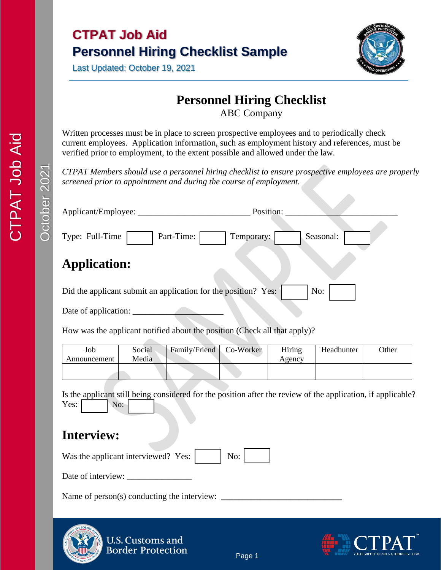



## **Personnel Hiring Checklist**

ABC Company

Written processes must be in place to screen prospective employees and to periodically check current employees. Application information, such as employment history and references, must be verified prior to employment, to the extent possible and allowed under the law.

*CTPAT Members should use a personnel hiring checklist to ensure prospective employees are properly screened prior to appointment and during the course of employment.*

| Applicant/Employee:                                                       | Position:               |
|---------------------------------------------------------------------------|-------------------------|
| Type: Full-Time<br>Part-Time:                                             | Seasonal:<br>Temporary: |
| <b>Application:</b>                                                       |                         |
| Did the applicant submit an application for the position? Yes:            | No:                     |
| Date of application:                                                      |                         |
| How was the applicant notified about the position (Check all that apply)? |                         |

| Job<br>Announcement | Social<br>Media | Family/Friend | Co-Worker | Hiring<br>Agency | Headhunter | <b>Other</b> |
|---------------------|-----------------|---------------|-----------|------------------|------------|--------------|
|                     |                 |               |           |                  |            |              |

Is the applicant still being considered for the position after the review of the application, if applicable? Yes: No:

## **Interview:**

Was the applicant interviewed? Yes:  $\vert$  No:

Date of interview: \_\_\_\_\_\_\_\_\_\_\_\_\_\_\_

Name of person(s) conducting the interview:



**U.S. Customs and Border Protection** 

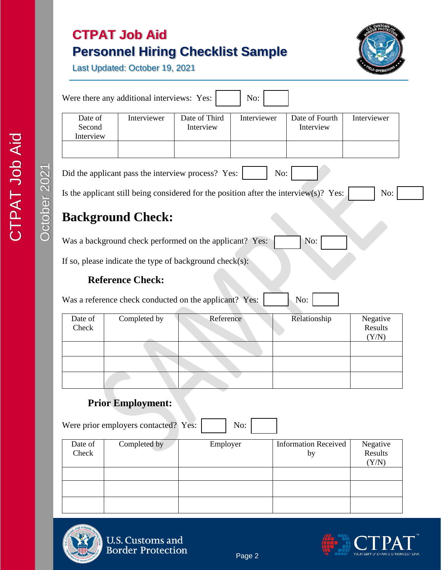# **CTPAT Job Aid Personnel Hiring Checklist Sample**



Last Updated: October 19, 2021

| Interviewer<br>Date of Third<br>Date of<br>Interviewer<br>Date of Fourth<br>Interviewer<br>Interview<br>Second<br>Interview<br>Interview<br>No:<br>No:<br><b>Reference Check:</b><br>No:<br>Date of<br>Completed by<br>Reference<br>Relationship<br>Negative<br>Results<br>Check<br>(Y/N)<br><b>Prior Employment:</b><br>No:<br>Date of<br>Completed by<br>Employer<br><b>Information Received</b><br>Negative |     |
|----------------------------------------------------------------------------------------------------------------------------------------------------------------------------------------------------------------------------------------------------------------------------------------------------------------------------------------------------------------------------------------------------------------|-----|
| Did the applicant pass the interview process? Yes:<br>Is the applicant still being considered for the position after the interview $(s)$ ? Yes:<br><b>Background Check:</b>                                                                                                                                                                                                                                    |     |
|                                                                                                                                                                                                                                                                                                                                                                                                                |     |
|                                                                                                                                                                                                                                                                                                                                                                                                                |     |
|                                                                                                                                                                                                                                                                                                                                                                                                                | No: |
| Was a background check performed on the applicant? Yes:                                                                                                                                                                                                                                                                                                                                                        |     |
| If so, please indicate the type of background check $(s)$ :<br>Was a reference check conducted on the applicant? Yes:                                                                                                                                                                                                                                                                                          |     |
|                                                                                                                                                                                                                                                                                                                                                                                                                |     |
|                                                                                                                                                                                                                                                                                                                                                                                                                |     |
|                                                                                                                                                                                                                                                                                                                                                                                                                |     |
|                                                                                                                                                                                                                                                                                                                                                                                                                |     |
|                                                                                                                                                                                                                                                                                                                                                                                                                |     |
|                                                                                                                                                                                                                                                                                                                                                                                                                |     |
| Were prior employers contacted? Yes:                                                                                                                                                                                                                                                                                                                                                                           |     |
|                                                                                                                                                                                                                                                                                                                                                                                                                |     |
|                                                                                                                                                                                                                                                                                                                                                                                                                |     |
|                                                                                                                                                                                                                                                                                                                                                                                                                |     |
|                                                                                                                                                                                                                                                                                                                                                                                                                |     |
| Check<br>Results<br>by<br>(Y/N)                                                                                                                                                                                                                                                                                                                                                                                |     |





CTPAT Job Aid

CTPAT Job Aid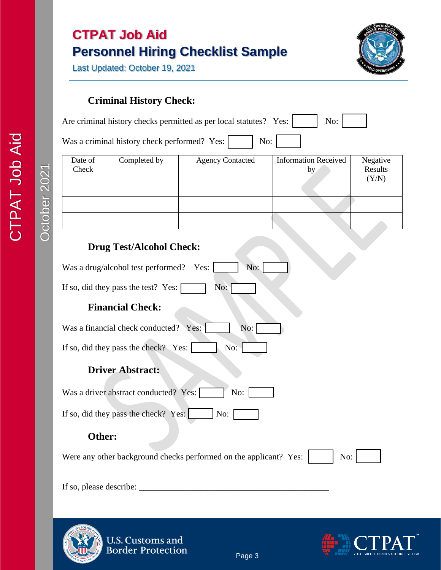# **CTPAT Job Aid Personnel Hiring Checklist Sample**

Last Updated: October 19, 2021



### **Criminal History Check:**

| Are criminal history checks permitted as per local statutes? Yes: |  | $\mathrm{No:}$ |  |  |
|-------------------------------------------------------------------|--|----------------|--|--|
|-------------------------------------------------------------------|--|----------------|--|--|

Was a criminal history check performed? Yes:  $\boxed{\phantom{1}}$  No:

| Date of<br>Check | Completed by | <b>Agency Contacted</b> | <b>Information Received</b><br>by | Negative<br>Results |
|------------------|--------------|-------------------------|-----------------------------------|---------------------|
|                  |              |                         |                                   | (Y/N)               |
|                  |              |                         |                                   |                     |
|                  |              |                         |                                   |                     |
|                  |              |                         |                                   |                     |

### **Drug Test/Alcohol Check:**

| Was a drug/alcohol test performed?<br>No:<br>Yes:                        |
|--------------------------------------------------------------------------|
| If so, did they pass the test? Yes:<br>No:                               |
| <b>Financial Check:</b>                                                  |
| Was a financial check conducted?<br>No:<br>Yes:                          |
| No:<br>If so, did they pass the check? Yes:                              |
| <b>Driver Abstract:</b>                                                  |
| Was a driver abstract conducted? Yes:<br>No:                             |
| If so, did they pass the check? Yes:<br>No:                              |
| Other:                                                                   |
| Were any other background checks performed on the applicant? Yes:<br>No: |
| If so, please describe:                                                  |



U.S. Customs and<br>Border Protection

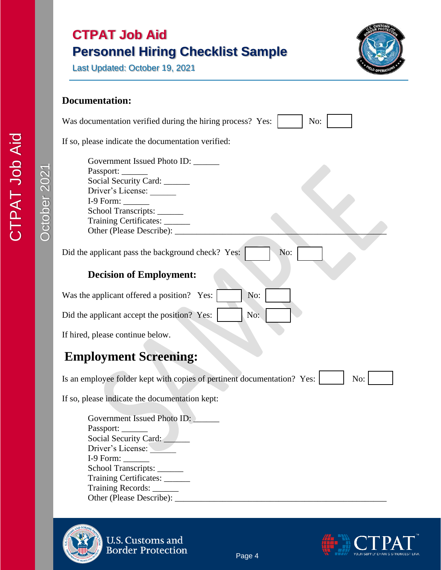| <b>CTPAT Job Aid</b>                     |  |
|------------------------------------------|--|
| <b>Personnel Hiring Checklist Sample</b> |  |



Last Updated: October 19, 2021

#### **Documentation:**

| Was documentation verified during the hiring process? Yes:<br>No:                                                                                                                                                                                         |
|-----------------------------------------------------------------------------------------------------------------------------------------------------------------------------------------------------------------------------------------------------------|
| If so, please indicate the documentation verified:                                                                                                                                                                                                        |
| Government Issued Photo ID:<br>Passport:<br>Social Security Card: _____<br>Driver's License:<br>$I-9$ Form: $\_\_$<br>School Transcripts:<br>Training Certificates: _______<br>Other (Please Describe): _                                                 |
| Did the applicant pass the background check? Yes:<br>No:                                                                                                                                                                                                  |
| <b>Decision of Employment:</b>                                                                                                                                                                                                                            |
| Was the applicant offered a position? Yes:<br>No:                                                                                                                                                                                                         |
| No:<br>Did the applicant accept the position? Yes:                                                                                                                                                                                                        |
| If hired, please continue below.                                                                                                                                                                                                                          |
| <b>Employment Screening:</b>                                                                                                                                                                                                                              |
| Is an employee folder kept with copies of pertinent documentation? Yes:<br>No:                                                                                                                                                                            |
| If so, please indicate the documentation kept:<br>Government Issued Photo ID:<br>Passport: ______<br>Social Security Card:<br>Driver's License:<br>$I-9$ Form: $\_\_$<br>School Transcripts:<br>Training Certificates: ______<br>Training Records: ______ |



U.S. Customs and<br>Border Protection



Other (Please Describe): \_\_\_\_\_\_\_\_\_\_\_\_\_\_\_\_\_\_\_\_\_\_\_\_\_\_\_\_\_\_\_\_\_\_\_\_\_\_\_\_\_\_\_\_\_\_\_\_\_